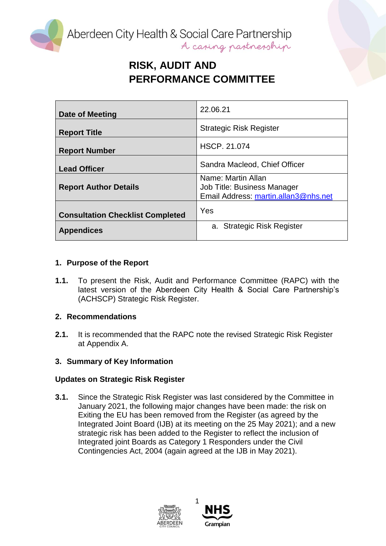Aberdeen City Health & Social Care Partnership<br>A caping partnership

# **RISK, AUDIT AND PERFORMANCE COMMITTEE**

| Date of Meeting                         | 22.06.21                                                                                  |
|-----------------------------------------|-------------------------------------------------------------------------------------------|
| <b>Report Title</b>                     | <b>Strategic Risk Register</b>                                                            |
| <b>Report Number</b>                    | <b>HSCP. 21.074</b>                                                                       |
| <b>Lead Officer</b>                     | Sandra Macleod, Chief Officer                                                             |
| <b>Report Author Details</b>            | Name: Martin Allan<br>Job Title: Business Manager<br>Email Address: martin.allan3@nhs.net |
| <b>Consultation Checklist Completed</b> | Yes                                                                                       |
| <b>Appendices</b>                       | a. Strategic Risk Register                                                                |

### **1. Purpose of the Report**

**1.1.** To present the Risk, Audit and Performance Committee (RAPC) with the latest version of the Aberdeen City Health & Social Care Partnership's (ACHSCP) Strategic Risk Register.

### **2. Recommendations**

**2.1.** It is recommended that the RAPC note the revised Strategic Risk Register at Appendix A.

### **3. Summary of Key Information**

### **Updates on Strategic Risk Register**

**3.1.** Since the Strategic Risk Register was last considered by the Committee in January 2021, the following major changes have been made: the risk on Exiting the EU has been removed from the Register (as agreed by the Integrated Joint Board (IJB) at its meeting on the 25 May 2021); and a new strategic risk has been added to the Register to reflect the inclusion of Integrated joint Boards as Category 1 Responders under the Civil Contingencies Act, 2004 (again agreed at the IJB in May 2021).



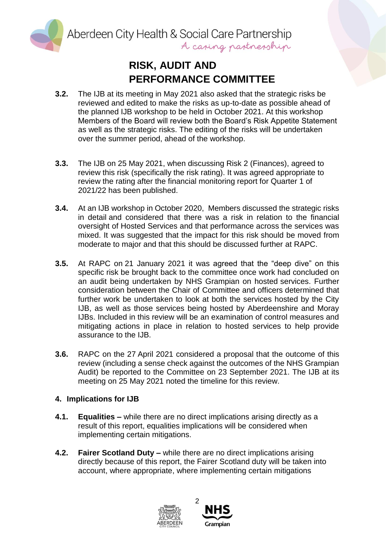Aberdeen City Health & Social Care Partnership A caping partnership

## **RISK, AUDIT AND PERFORMANCE COMMITTEE**

- **3.2.** The IJB at its meeting in May 2021 also asked that the strategic risks be reviewed and edited to make the risks as up-to-date as possible ahead of the planned IJB workshop to be held in October 2021. At this workshop Members of the Board will review both the Board's Risk Appetite Statement as well as the strategic risks. The editing of the risks will be undertaken over the summer period, ahead of the workshop.
- **3.3.** The IJB on 25 May 2021, when discussing Risk 2 (Finances), agreed to review this risk (specifically the risk rating). It was agreed appropriate to review the rating after the financial monitoring report for Quarter 1 of 2021/22 has been published.
- **3.4.** At an IJB workshop in October 2020, Members discussed the strategic risks in detail and considered that there was a risk in relation to the financial oversight of Hosted Services and that performance across the services was mixed. It was suggested that the impact for this risk should be moved from moderate to major and that this should be discussed further at RAPC.
- **3.5.** At RAPC on 21 January 2021 it was agreed that the "deep dive" on this specific risk be brought back to the committee once work had concluded on an audit being undertaken by NHS Grampian on hosted services. Further consideration between the Chair of Committee and officers determined that further work be undertaken to look at both the services hosted by the City IJB, as well as those services being hosted by Aberdeenshire and Moray IJBs. Included in this review will be an examination of control measures and mitigating actions in place in relation to hosted services to help provide assurance to the IJB.
- **3.6.** RAPC on the 27 April 2021 considered a proposal that the outcome of this review (including a sense check against the outcomes of the NHS Grampian Audit) be reported to the Committee on 23 September 2021. The IJB at its meeting on 25 May 2021 noted the timeline for this review.

#### **4. Implications for IJB**

- **4.1. Equalities –** while there are no direct implications arising directly as a result of this report, equalities implications will be considered when implementing certain mitigations.
- **4.2. Fairer Scotland Duty –** while there are no direct implications arising directly because of this report, the Fairer Scotland duty will be taken into account, where appropriate, where implementing certain mitigations



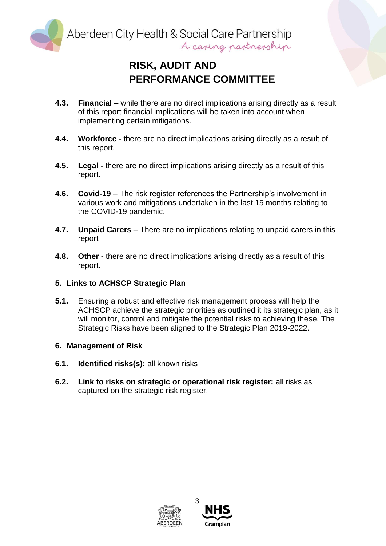Aberdeen City Health & Social Care Partnership A casing pastnesship

## **RISK, AUDIT AND PERFORMANCE COMMITTEE**

- **4.3. Financial** while there are no direct implications arising directly as a result of this report financial implications will be taken into account when implementing certain mitigations.
- **4.4. Workforce -** there are no direct implications arising directly as a result of this report.
- **4.5. Legal -** there are no direct implications arising directly as a result of this report.
- **4.6. Covid-19** The risk register references the Partnership's involvement in various work and mitigations undertaken in the last 15 months relating to the COVID-19 pandemic.
- **4.7. Unpaid Carers** There are no implications relating to unpaid carers in this report
- **4.8. Other -** there are no direct implications arising directly as a result of this report.

#### **5. Links to ACHSCP Strategic Plan**

**5.1.** Ensuring a robust and effective risk management process will help the ACHSCP achieve the strategic priorities as outlined it its strategic plan, as it will monitor, control and mitigate the potential risks to achieving these. The Strategic Risks have been aligned to the Strategic Plan 2019-2022.

#### **6. Management of Risk**

- **6.1. Identified risks(s):** all known risks
- **6.2. Link to risks on strategic or operational risk register:** all risks as captured on the strategic risk register.